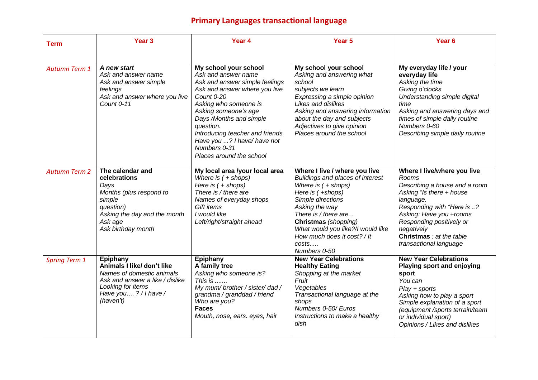## **Primary Languages transactional language**

| <b>Term</b>          | Year <sub>3</sub>                                                                                                                                             | Year 4                                                                                                                                                                                                                                                                                                                               | Year <sub>5</sub>                                                                                                                                                                                                                                                                                             | Year <sub>6</sub>                                                                                                                                                                                                                                                       |
|----------------------|---------------------------------------------------------------------------------------------------------------------------------------------------------------|--------------------------------------------------------------------------------------------------------------------------------------------------------------------------------------------------------------------------------------------------------------------------------------------------------------------------------------|---------------------------------------------------------------------------------------------------------------------------------------------------------------------------------------------------------------------------------------------------------------------------------------------------------------|-------------------------------------------------------------------------------------------------------------------------------------------------------------------------------------------------------------------------------------------------------------------------|
|                      |                                                                                                                                                               |                                                                                                                                                                                                                                                                                                                                      |                                                                                                                                                                                                                                                                                                               |                                                                                                                                                                                                                                                                         |
| <b>Autumn Term 1</b> | A new start<br>Ask and answer name<br>Ask and answer simple<br>feelings<br>Ask and answer where you live<br>Count 0-11                                        | My school your school<br>Ask and answer name<br>Ask and answer simple feelings<br>Ask and answer where you live<br>Count 0-20<br>Asking who someone is<br>Asking someone's age<br>Days /Months and simple<br>question.<br>Introducing teacher and friends<br>Have you ? I have/ have not<br>Numbers 0-31<br>Places around the school | My school your school<br>Asking and answering what<br>school<br>subjects we learn<br>Expressing a simple opinion<br>Likes and dislikes<br>Asking and answering information<br>about the day and subjects<br>Adjectives to give opinion<br>Places around the school                                            | My everyday life / your<br>everyday life<br>Asking the time<br>Giving o'clocks<br>Understanding simple digital<br>time<br>Asking and answering days and<br>times of simple daily routine<br>Numbers 0-60<br>Describing simple daily routine                             |
| <b>Autumn Term 2</b> | The calendar and<br>celebrations<br>Days<br>Months (plus respond to<br>simple<br>question)<br>Asking the day and the month<br>Ask age<br>Ask birthday month   | My local area /your local area<br>Where is $( +$ shops)<br>Here is $( +$ shops)<br>There is / there are<br>Names of everyday shops<br>Gift items<br>I would like<br>Left/right/straight ahead                                                                                                                                        | Where I live / where you live<br><b>Buildings and places of interest</b><br>Where is $( +$ shops)<br>Here is $( +$ shops)<br>Simple directions<br>Asking the way<br>There is / there are<br>Christmas (shopping)<br>What would you like?/I would like<br>How much does it cost? / It<br>costs<br>Numbers 0-50 | Where I live/where you live<br>Rooms<br>Describing a house and a room<br>Asking "Is there + house<br>language.<br>Responding with "Here is ?<br>Asking: Have you +rooms<br>Responding positively or<br>negatively<br>Christmas : at the table<br>transactional language |
| <b>Spring Term 1</b> | Epiphany<br>Animals I like/ don't like<br>Names of domestic animals<br>Ask and answer a like / dislike<br>Looking for items<br>Have you?/I have/<br>(haven't) | Epiphany<br>A family tree<br>Asking who someone is?<br>This is<br>My mum/ brother / sister/ dad /<br>grandma / granddad / friend<br>Who are you?<br><b>Faces</b><br>Mouth, nose, ears. eyes, hair                                                                                                                                    | <b>New Year Celebrations</b><br><b>Healthy Eating</b><br>Shopping at the market<br>Fruit<br>Vegetables<br>Transactional language at the<br>shops<br>Numbers 0-50/Euros<br>Instructions to make a healthy<br>dish                                                                                              | <b>New Year Celebrations</b><br>Playing sport and enjoying<br>sport<br>You can<br>$Play + sports$<br>Asking how to play a sport<br>Simple explanation of a sport<br>(equipment /sports terrain/team<br>or individual sport)<br>Opinions / Likes and dislikes            |